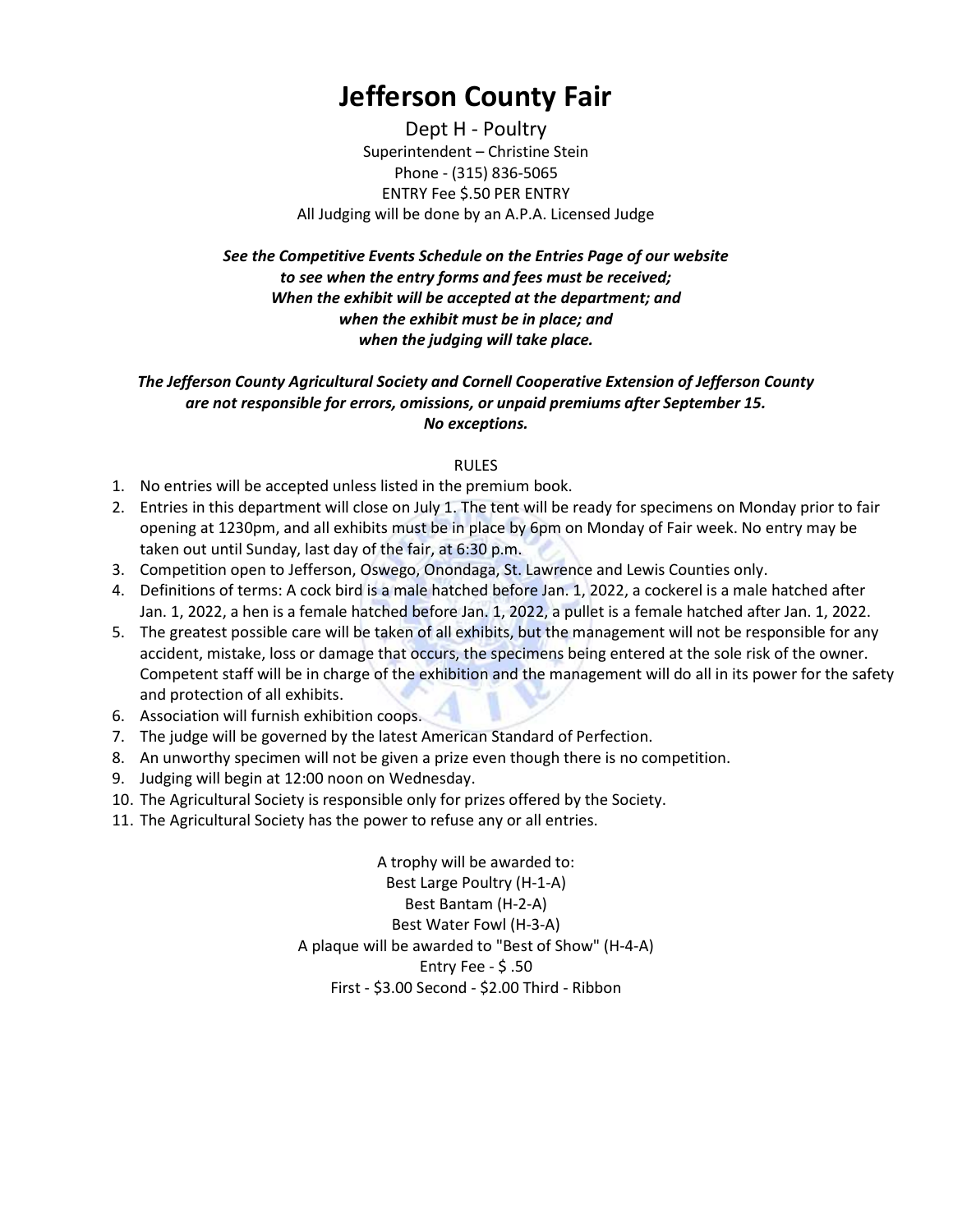## Jefferson County Fair

Dept H - Poultry Superintendent – Christine Stein Phone - (315) 836-5065 ENTRY Fee \$.50 PER ENTRY All Judging will be done by an A.P.A. Licensed Judge

See the Competitive Events Schedule on the Entries Page of our website to see when the entry forms and fees must be received; When the exhibit will be accepted at the department; and when the exhibit must be in place; and when the judging will take place.

## The Jefferson County Agricultural Society and Cornell Cooperative Extension of Jefferson County are not responsible for errors, omissions, or unpaid premiums after September 15. No exceptions.

## RULES

- 1. No entries will be accepted unless listed in the premium book.
- 2. Entries in this department will close on July 1. The tent will be ready for specimens on Monday prior to fair opening at 1230pm, and all exhibits must be in place by 6pm on Monday of Fair week. No entry may be taken out until Sunday, last day of the fair, at 6:30 p.m.
- 3. Competition open to Jefferson, Oswego, Onondaga, St. Lawrence and Lewis Counties only.
- 4. Definitions of terms: A cock bird is a male hatched before Jan. 1, 2022, a cockerel is a male hatched after Jan. 1, 2022, a hen is a female hatched before Jan. 1, 2022, a pullet is a female hatched after Jan. 1, 2022.
- 5. The greatest possible care will be taken of all exhibits, but the management will not be responsible for any accident, mistake, loss or damage that occurs, the specimens being entered at the sole risk of the owner. Competent staff will be in charge of the exhibition and the management will do all in its power for the safety and protection of all exhibits.
- 6. Association will furnish exhibition coops.
- 7. The judge will be governed by the latest American Standard of Perfection.
- 8. An unworthy specimen will not be given a prize even though there is no competition.
- 9. Judging will begin at 12:00 noon on Wednesday.
- 10. The Agricultural Society is responsible only for prizes offered by the Society.
- 11. The Agricultural Society has the power to refuse any or all entries.

A trophy will be awarded to: Best Large Poultry (H-1-A) Best Bantam (H-2-A) Best Water Fowl (H-3-A) A plaque will be awarded to "Best of Show" (H-4-A) Entry Fee - \$ .50 First - \$3.00 Second - \$2.00 Third - Ribbon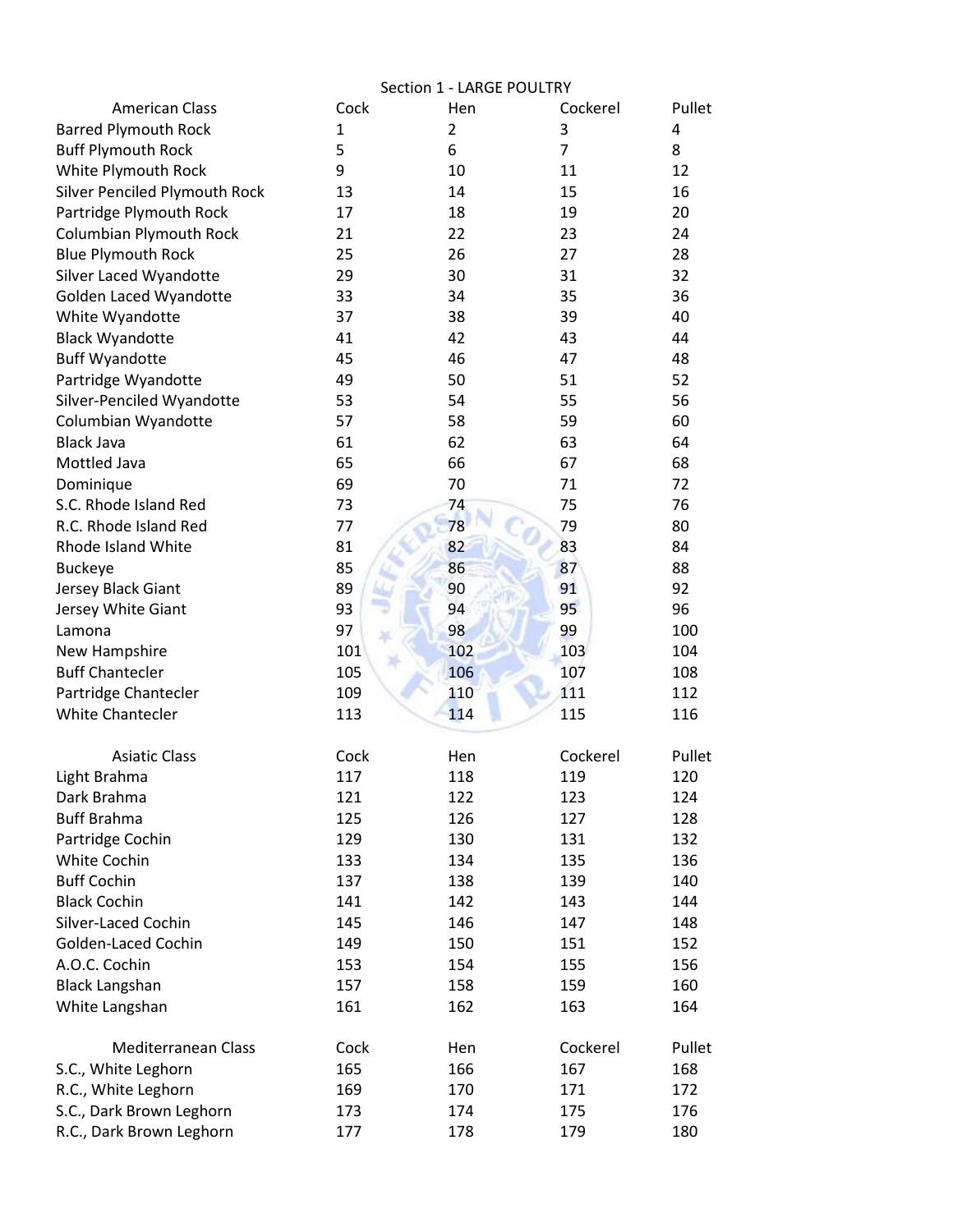|                                      | Section 1 - LARGE POULTRY |     |                |        |  |
|--------------------------------------|---------------------------|-----|----------------|--------|--|
| <b>American Class</b>                | Cock                      | Hen | Cockerel       | Pullet |  |
| <b>Barred Plymouth Rock</b>          | 1                         | 2   | 3              | 4      |  |
| <b>Buff Plymouth Rock</b>            | 5                         | 6   | $\overline{7}$ | 8      |  |
| White Plymouth Rock                  | 9                         | 10  | 11             | 12     |  |
| <b>Silver Penciled Plymouth Rock</b> | 13                        | 14  | 15             | 16     |  |
| Partridge Plymouth Rock              | 17                        | 18  | 19             | 20     |  |
| <b>Columbian Plymouth Rock</b>       | 21                        | 22  | 23             | 24     |  |
| <b>Blue Plymouth Rock</b>            | 25                        | 26  | 27             | 28     |  |
| Silver Laced Wyandotte               | 29                        | 30  | 31             | 32     |  |
| Golden Laced Wyandotte               | 33                        | 34  | 35             | 36     |  |
| White Wyandotte                      | 37                        | 38  | 39             | 40     |  |
| <b>Black Wyandotte</b>               | 41                        | 42  | 43             | 44     |  |
| <b>Buff Wyandotte</b>                | 45                        | 46  | 47             | 48     |  |
| Partridge Wyandotte                  | 49                        | 50  | 51             | 52     |  |
| Silver-Penciled Wyandotte            | 53                        | 54  | 55             | 56     |  |
| Columbian Wyandotte                  | 57                        | 58  | 59             | 60     |  |
| <b>Black Java</b>                    | 61                        | 62  | 63             | 64     |  |
| Mottled Java                         | 65                        | 66  | 67             | 68     |  |
| Dominique                            | 69                        | 70  | 71             | 72     |  |
| S.C. Rhode Island Red                | 73                        | 74  | 75             | 76     |  |
| R.C. Rhode Island Red                | 77                        | 78  | 79             | 80     |  |
| Rhode Island White                   | 81                        | 82  | 83             | 84     |  |
| <b>Buckeye</b>                       | 85                        | 86  | 87             | 88     |  |
| Jersey Black Giant                   | 89                        | 90  | 91             | 92     |  |
| Jersey White Giant                   | 93                        | 94  | 95             | 96     |  |
| Lamona                               | 97                        | 98  | 99             | 100    |  |
| New Hampshire                        | 101                       | 102 | 103            | 104    |  |
| <b>Buff Chantecler</b>               | 105                       | 106 | 107            | 108    |  |
| Partridge Chantecler                 | 109                       | 110 | 111            | 112    |  |
| <b>White Chantecler</b>              | 113                       | 114 | 115            | 116    |  |
| <b>Asiatic Class</b>                 | Cock                      | Hen | Cockerel       | Pullet |  |
| Light Brahma                         | 117                       | 118 | 119            | 120    |  |
| Dark Brahma                          | 121                       | 122 | 123            | 124    |  |
| <b>Buff Brahma</b>                   | 125                       | 126 | 127            | 128    |  |
| Partridge Cochin                     | 129                       | 130 | 131            | 132    |  |
| White Cochin                         | 133                       | 134 | 135            | 136    |  |
| <b>Buff Cochin</b>                   | 137                       | 138 | 139            | 140    |  |
| <b>Black Cochin</b>                  | 141                       | 142 | 143            | 144    |  |
| Silver-Laced Cochin                  | 145                       | 146 | 147            | 148    |  |
| Golden-Laced Cochin                  | 149                       | 150 | 151            | 152    |  |
| A.O.C. Cochin                        | 153                       | 154 | 155            | 156    |  |
| <b>Black Langshan</b>                | 157                       | 158 | 159            | 160    |  |
| White Langshan                       | 161                       | 162 | 163            | 164    |  |
| Mediterranean Class                  | Cock                      | Hen | Cockerel       | Pullet |  |
| S.C., White Leghorn                  | 165                       | 166 | 167            | 168    |  |
| R.C., White Leghorn                  | 169                       | 170 | 171            | 172    |  |
| S.C., Dark Brown Leghorn             | 173                       | 174 | 175            | 176    |  |
| R.C., Dark Brown Leghorn             | 177                       | 178 | 179            | 180    |  |
|                                      |                           |     |                |        |  |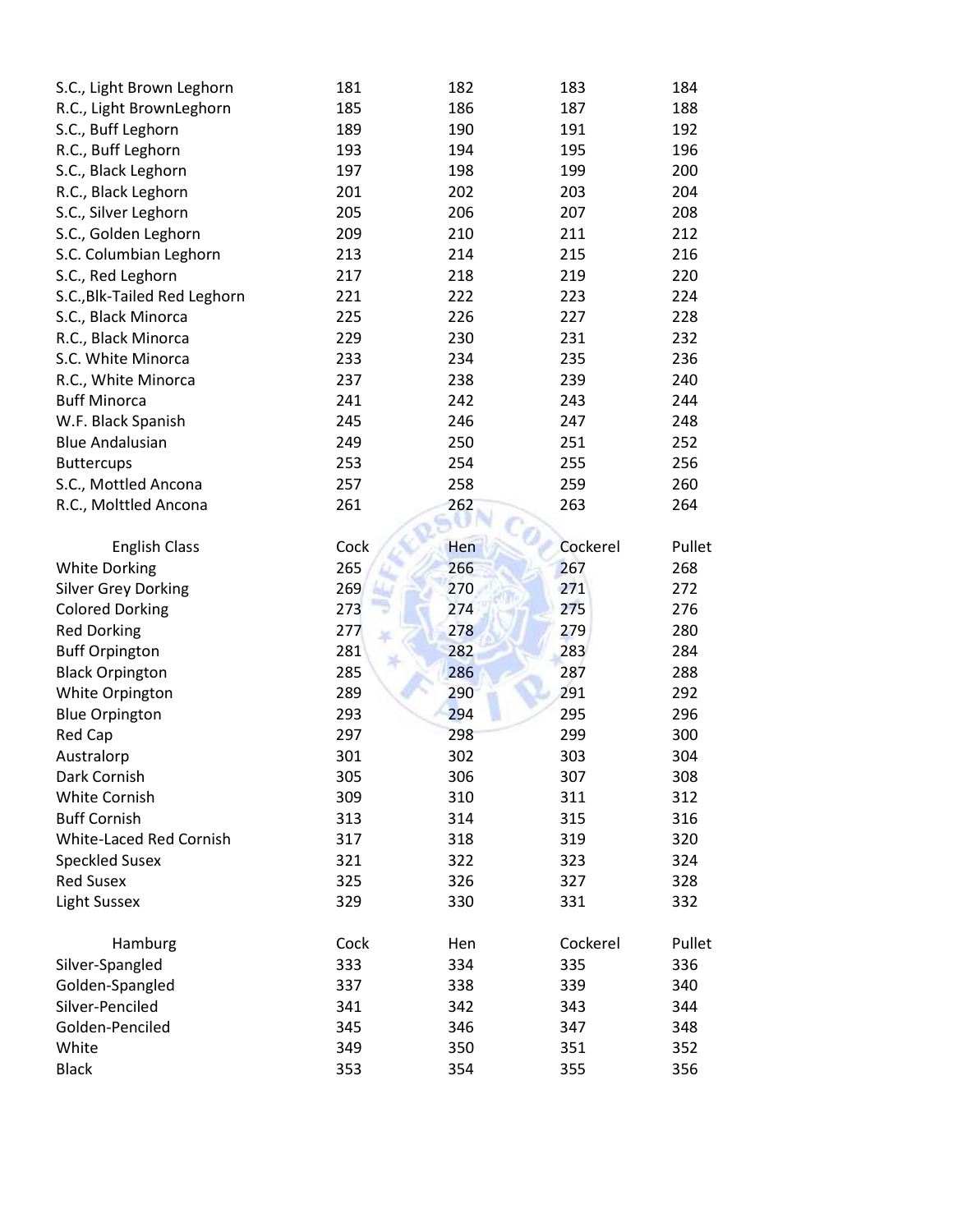| S.C., Light Brown Leghorn    | 181  | 182 | 183      | 184    |
|------------------------------|------|-----|----------|--------|
| R.C., Light BrownLeghorn     | 185  | 186 | 187      | 188    |
| S.C., Buff Leghorn           | 189  | 190 | 191      | 192    |
| R.C., Buff Leghorn           | 193  | 194 | 195      | 196    |
| S.C., Black Leghorn          | 197  | 198 | 199      | 200    |
| R.C., Black Leghorn          | 201  | 202 | 203      | 204    |
| S.C., Silver Leghorn         | 205  | 206 | 207      | 208    |
| S.C., Golden Leghorn         | 209  | 210 | 211      | 212    |
| S.C. Columbian Leghorn       | 213  | 214 | 215      | 216    |
| S.C., Red Leghorn            | 217  | 218 | 219      | 220    |
| S.C., Blk-Tailed Red Leghorn | 221  | 222 | 223      | 224    |
| S.C., Black Minorca          | 225  | 226 | 227      | 228    |
| R.C., Black Minorca          | 229  | 230 | 231      | 232    |
| S.C. White Minorca           | 233  | 234 | 235      | 236    |
| R.C., White Minorca          | 237  | 238 | 239      | 240    |
| <b>Buff Minorca</b>          | 241  | 242 | 243      | 244    |
| W.F. Black Spanish           | 245  | 246 | 247      | 248    |
| <b>Blue Andalusian</b>       | 249  | 250 | 251      | 252    |
| <b>Buttercups</b>            | 253  | 254 | 255      | 256    |
| S.C., Mottled Ancona         | 257  | 258 | 259      | 260    |
| R.C., Molttled Ancona        | 261  | 262 | 263      | 264    |
|                              |      |     |          |        |
| <b>English Class</b>         | Cock | Hen | Cockerel | Pullet |
| <b>White Dorking</b>         | 265  | 266 | 267      | 268    |
| <b>Silver Grey Dorking</b>   | 269  | 270 | 271      | 272    |
| <b>Colored Dorking</b>       | 273  | 274 | 275      | 276    |
| <b>Red Dorking</b>           | 277  | 278 | 279      | 280    |
| <b>Buff Orpington</b>        | 281  | 282 | 283      | 284    |
| <b>Black Orpington</b>       | 285  | 286 | 287      | 288    |
| White Orpington              | 289  | 290 | 291      | 292    |
| <b>Blue Orpington</b>        | 293  | 294 | 295      | 296    |
| Red Cap                      | 297  | 298 | 299      | 300    |
| Australorp                   | 301  | 302 | 303      | 304    |
| Dark Cornish                 | 305  | 306 | 307      | 308    |
| White Cornish                | 309  | 310 | 311      | 312    |
| <b>Buff Cornish</b>          | 313  | 314 | 315      | 316    |
| White-Laced Red Cornish      | 317  | 318 | 319      | 320    |
| <b>Speckled Susex</b>        | 321  | 322 | 323      | 324    |
| <b>Red Susex</b>             | 325  | 326 | 327      | 328    |
| Light Sussex                 | 329  | 330 | 331      | 332    |
| Hamburg                      | Cock | Hen | Cockerel | Pullet |
| Silver-Spangled              | 333  | 334 | 335      | 336    |
| Golden-Spangled              | 337  | 338 | 339      | 340    |
| Silver-Penciled              | 341  | 342 | 343      | 344    |
| Golden-Penciled              | 345  | 346 | 347      | 348    |
| White                        | 349  | 350 | 351      | 352    |
| <b>Black</b>                 | 353  | 354 | 355      | 356    |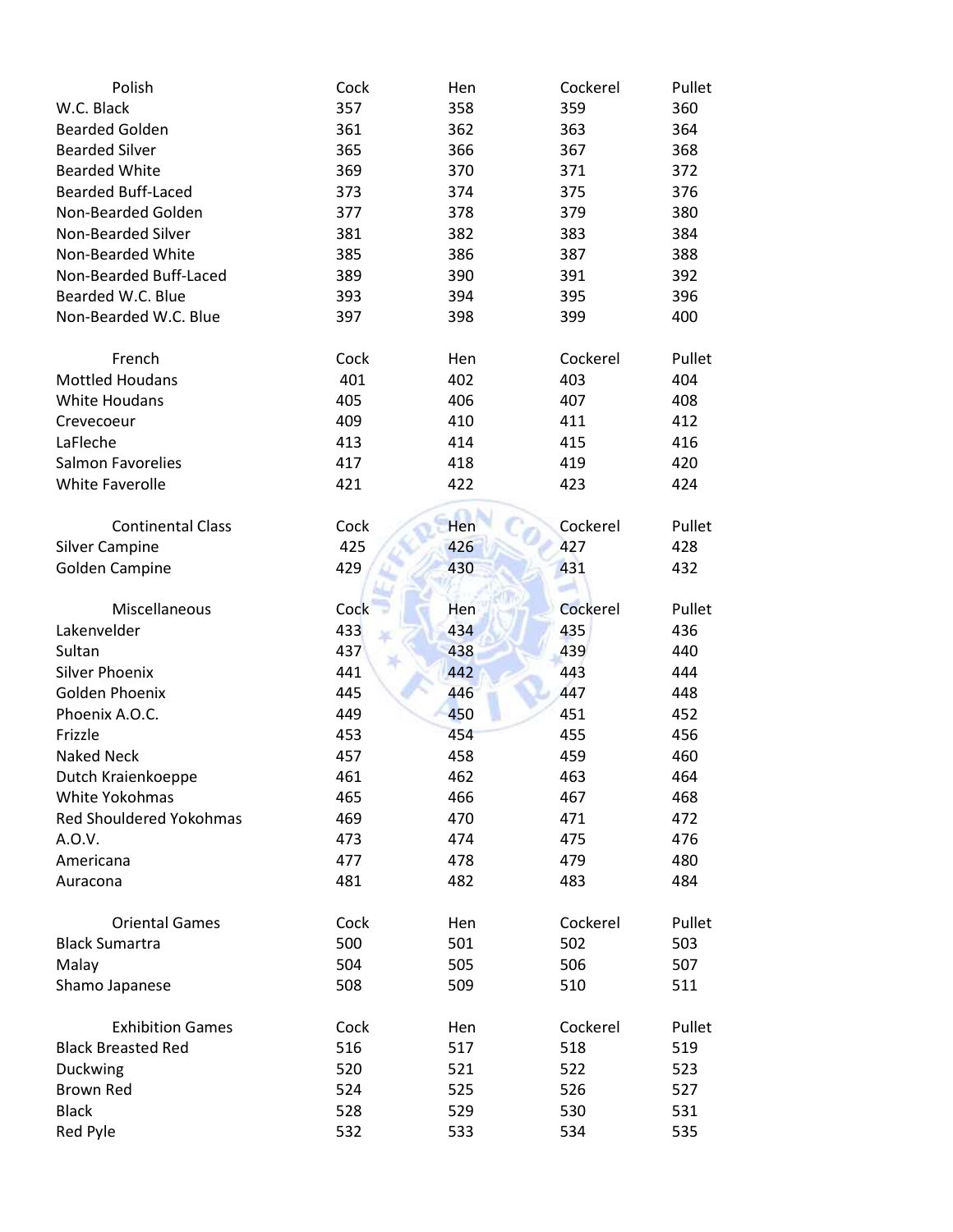| Polish                         | Cock | Hen | Cockerel | Pullet |
|--------------------------------|------|-----|----------|--------|
| W.C. Black                     | 357  | 358 | 359      | 360    |
| <b>Bearded Golden</b>          | 361  | 362 | 363      | 364    |
| <b>Bearded Silver</b>          | 365  | 366 | 367      | 368    |
| <b>Bearded White</b>           | 369  | 370 | 371      | 372    |
| <b>Bearded Buff-Laced</b>      | 373  | 374 | 375      | 376    |
| Non-Bearded Golden             | 377  | 378 | 379      | 380    |
| Non-Bearded Silver             | 381  | 382 | 383      | 384    |
| Non-Bearded White              | 385  | 386 | 387      | 388    |
| Non-Bearded Buff-Laced         | 389  | 390 | 391      | 392    |
| Bearded W.C. Blue              | 393  | 394 | 395      | 396    |
| Non-Bearded W.C. Blue          | 397  | 398 | 399      | 400    |
| French                         | Cock | Hen | Cockerel | Pullet |
| <b>Mottled Houdans</b>         | 401  | 402 | 403      | 404    |
| <b>White Houdans</b>           | 405  | 406 | 407      | 408    |
| Crevecoeur                     | 409  | 410 | 411      | 412    |
| LaFleche                       | 413  | 414 | 415      | 416    |
| Salmon Favorelies              | 417  | 418 | 419      | 420    |
| <b>White Faverolle</b>         | 421  | 422 | 423      | 424    |
| <b>Continental Class</b>       | Cock | Hen | Cockerel | Pullet |
| <b>Silver Campine</b>          | 425  | 426 | 427      | 428    |
| <b>Golden Campine</b>          | 429  | 430 | 431      | 432    |
|                                |      |     |          |        |
| Miscellaneous                  | Cock | Hen | Cockerel | Pullet |
| Lakenvelder                    | 433  | 434 | 435      | 436    |
| Sultan                         | 437  | 438 | 439      | 440    |
| <b>Silver Phoenix</b>          | 441  | 442 | 443      | 444    |
| Golden Phoenix                 | 445  | 446 | 447      | 448    |
| Phoenix A.O.C.                 | 449  | 450 | 451      | 452    |
| Frizzle                        | 453  | 454 | 455      | 456    |
| <b>Naked Neck</b>              | 457  | 458 | 459      | 460    |
| Dutch Kraienkoeppe             | 461  | 462 | 463      | 464    |
| White Yokohmas                 | 465  | 466 | 467      | 468    |
| <b>Red Shouldered Yokohmas</b> | 469  | 470 | 471      | 472    |
| A.O.V.                         | 473  | 474 | 475      | 476    |
| Americana                      | 477  | 478 | 479      | 480    |
| Auracona                       | 481  | 482 | 483      | 484    |
| <b>Oriental Games</b>          | Cock | Hen | Cockerel | Pullet |
| <b>Black Sumartra</b>          | 500  | 501 | 502      | 503    |
| Malay                          | 504  | 505 | 506      | 507    |
| Shamo Japanese                 | 508  | 509 | 510      | 511    |
| <b>Exhibition Games</b>        | Cock | Hen | Cockerel | Pullet |
| <b>Black Breasted Red</b>      | 516  | 517 | 518      | 519    |
| Duckwing                       | 520  | 521 | 522      | 523    |
| <b>Brown Red</b>               | 524  | 525 | 526      | 527    |
| <b>Black</b>                   | 528  | 529 | 530      | 531    |
| Red Pyle                       | 532  | 533 | 534      | 535    |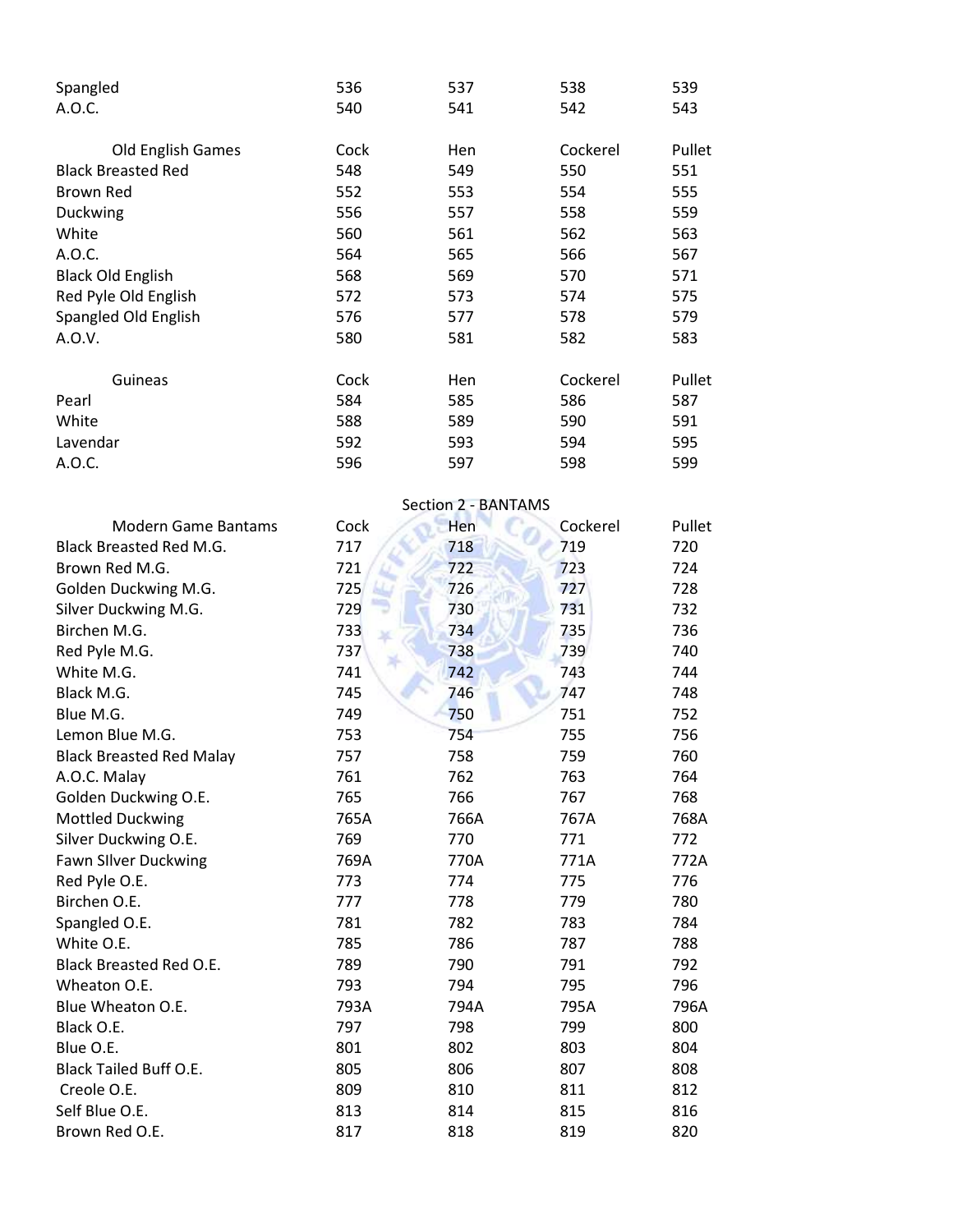| Spangled                  | 536  | 537 | 538      | 539    |
|---------------------------|------|-----|----------|--------|
| A.O.C.                    | 540  | 541 | 542      | 543    |
| <b>Old English Games</b>  | Cock | Hen | Cockerel | Pullet |
| <b>Black Breasted Red</b> | 548  | 549 | 550      | 551    |
| <b>Brown Red</b>          | 552  | 553 | 554      | 555    |
| Duckwing                  | 556  | 557 | 558      | 559    |
| White                     | 560  | 561 | 562      | 563    |
| A.O.C.                    | 564  | 565 | 566      | 567    |
| <b>Black Old English</b>  | 568  | 569 | 570      | 571    |
| Red Pyle Old English      | 572  | 573 | 574      | 575    |
| Spangled Old English      | 576  | 577 | 578      | 579    |
| A.O.V.                    | 580  | 581 | 582      | 583    |
| Guineas                   | Cock | Hen | Cockerel | Pullet |
| Pearl                     | 584  | 585 | 586      | 587    |
| White                     | 588  | 589 | 590      | 591    |
| Lavendar                  | 592  | 593 | 594      | 595    |
| A.O.C.                    | 596  | 597 | 598      | 599    |

|                                 | Section 2 - BANTAMS |      |          |        |
|---------------------------------|---------------------|------|----------|--------|
| <b>Modern Game Bantams</b>      | Cock                | Hen  | Cockerel | Pullet |
| <b>Black Breasted Red M.G.</b>  | 717                 | 718  | 719      | 720    |
| Brown Red M.G.                  | 721                 | 722  | 723      | 724    |
| Golden Duckwing M.G.            | 725                 | 726  | 727      | 728    |
| Silver Duckwing M.G.            | 729                 | 730  | 731      | 732    |
| Birchen M.G.                    | 733                 | 734  | 735      | 736    |
| Red Pyle M.G.                   | 737                 | 738  | 739      | 740    |
| White M.G.                      | 741                 | 742  | 743      | 744    |
| Black M.G.                      | 745                 | 746  | 747      | 748    |
| Blue M.G.                       | 749                 | 750  | 751      | 752    |
| Lemon Blue M.G.                 | 753                 | 754  | 755      | 756    |
| <b>Black Breasted Red Malay</b> | 757                 | 758  | 759      | 760    |
| A.O.C. Malay                    | 761                 | 762  | 763      | 764    |
| Golden Duckwing O.E.            | 765                 | 766  | 767      | 768    |
| <b>Mottled Duckwing</b>         | 765A                | 766A | 767A     | 768A   |
| Silver Duckwing O.E.            | 769                 | 770  | 771      | 772    |
| <b>Fawn Silver Duckwing</b>     | 769A                | 770A | 771A     | 772A   |
| Red Pyle O.E.                   | 773                 | 774  | 775      | 776    |
| Birchen O.E.                    | 777                 | 778  | 779      | 780    |
| Spangled O.E.                   | 781                 | 782  | 783      | 784    |
| White O.E.                      | 785                 | 786  | 787      | 788    |
| <b>Black Breasted Red O.E.</b>  | 789                 | 790  | 791      | 792    |
| Wheaton O.E.                    | 793                 | 794  | 795      | 796    |
| Blue Wheaton O.E.               | 793A                | 794A | 795A     | 796A   |
| Black O.E.                      | 797                 | 798  | 799      | 800    |
| Blue O.E.                       | 801                 | 802  | 803      | 804    |
| <b>Black Tailed Buff O.E.</b>   | 805                 | 806  | 807      | 808    |
| Creole O.E.                     | 809                 | 810  | 811      | 812    |
| Self Blue O.E.                  | 813                 | 814  | 815      | 816    |
| Brown Red O.E.                  | 817                 | 818  | 819      | 820    |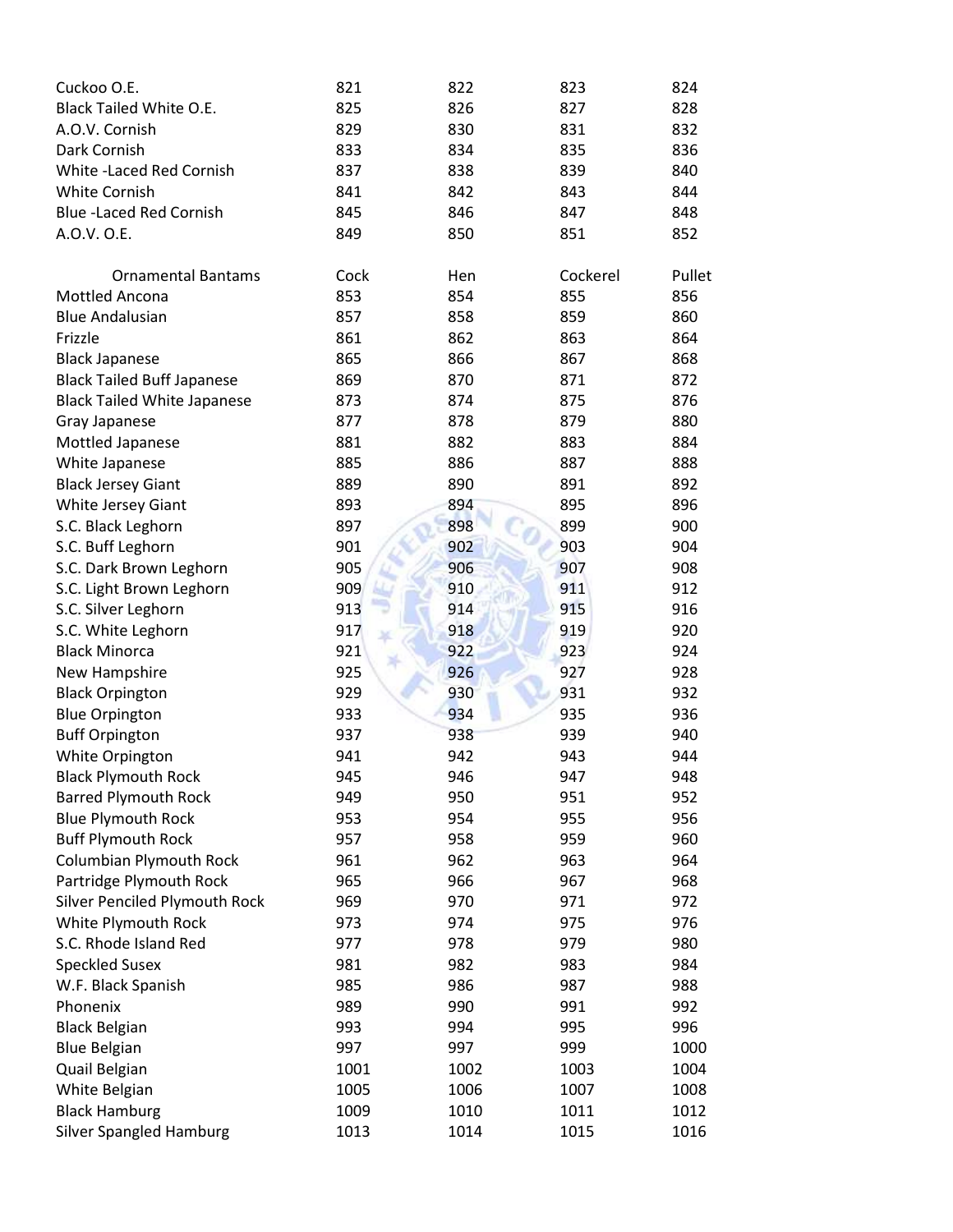| Cuckoo O.E.                          | 821         | 822         | 823          | 824    |
|--------------------------------------|-------------|-------------|--------------|--------|
| Black Tailed White O.E.              | 825         | 826         | 827          | 828    |
| A.O.V. Cornish                       | 829         | 830         | 831          | 832    |
| Dark Cornish                         | 833         | 834         | 835          | 836    |
| White -Laced Red Cornish             | 837         | 838         | 839          | 840    |
| White Cornish                        | 841         | 842         | 843          | 844    |
| <b>Blue-Laced Red Cornish</b>        | 845         | 846         | 847          | 848    |
| A.O.V. O.E.                          | 849         | 850         | 851          | 852    |
|                                      |             |             |              |        |
| <b>Ornamental Bantams</b>            | Cock        | Hen         | Cockerel     | Pullet |
| Mottled Ancona                       | 853         | 854         | 855          | 856    |
| <b>Blue Andalusian</b>               | 857         | 858         | 859          | 860    |
| Frizzle                              | 861         | 862         | 863          | 864    |
| <b>Black Japanese</b>                | 865         | 866         | 867          | 868    |
| <b>Black Tailed Buff Japanese</b>    | 869         | 870         | 871          | 872    |
| <b>Black Tailed White Japanese</b>   | 873         | 874         | 875          | 876    |
| Gray Japanese                        | 877         | 878         | 879          | 880    |
| Mottled Japanese                     | 881         | 882         | 883          | 884    |
| White Japanese                       | 885         | 886         | 887          | 888    |
| <b>Black Jersey Giant</b>            | 889         | 890         | 891          | 892    |
| White Jersey Giant                   | 893         | 894         | 895          | 896    |
| S.C. Black Leghorn                   | 897         | 898         | 899          | 900    |
| S.C. Buff Leghorn                    | 901         | 902         | 903          | 904    |
| S.C. Dark Brown Leghorn              | 905         | 906         | 907          | 908    |
| S.C. Light Brown Leghorn             | 909         | 910         | 911          | 912    |
| S.C. Silver Leghorn                  | 913         | 914         | 915          | 916    |
| S.C. White Leghorn                   | 917         | 918         | 919          | 920    |
| <b>Black Minorca</b>                 | 921         | 922         | 923          | 924    |
| New Hampshire                        | 925         | 926         | 927          | 928    |
| <b>Black Orpington</b>               | 929         | 930         | 931          | 932    |
| <b>Blue Orpington</b>                | 933         | 934         | 935          | 936    |
| <b>Buff Orpington</b>                | 937         | 938         | 939          | 940    |
| White Orpington                      | 941         | 942         | 943          | 944    |
| <b>Black Plymouth Rock</b>           | 945         | 946         | 947          | 948    |
| <b>Barred Plymouth Rock</b>          | 949         | 950         | 951          | 952    |
| <b>Blue Plymouth Rock</b>            | 953         | 954         | 955          | 956    |
| <b>Buff Plymouth Rock</b>            | 957         | 958         | 959          | 960    |
| <b>Columbian Plymouth Rock</b>       | 961         | 962         | 963          | 964    |
| Partridge Plymouth Rock              | 965         | 966         | 967          | 968    |
| <b>Silver Penciled Plymouth Rock</b> | 969         | 970         | 971          | 972    |
| White Plymouth Rock                  | 973         | 974         | 975          | 976    |
| S.C. Rhode Island Red                | 977         | 978         | 979          | 980    |
| <b>Speckled Susex</b>                | 981         | 982         | 983          | 984    |
| W.F. Black Spanish                   | 985         | 986         | 987          | 988    |
| Phonenix                             | 989         | 990         | 991          | 992    |
| <b>Black Belgian</b>                 | 993         | 994         | 995          | 996    |
|                                      |             |             |              |        |
| <b>Blue Belgian</b>                  | 997<br>1001 | 997<br>1002 | 999          | 1000   |
| Quail Belgian<br>White Belgian       | 1005        | 1006        | 1003<br>1007 | 1004   |
| <b>Black Hamburg</b>                 | 1009        | 1010        | 1011         | 1008   |
| <b>Silver Spangled Hamburg</b>       |             |             |              | 1012   |
|                                      | 1013        | 1014        | 1015         | 1016   |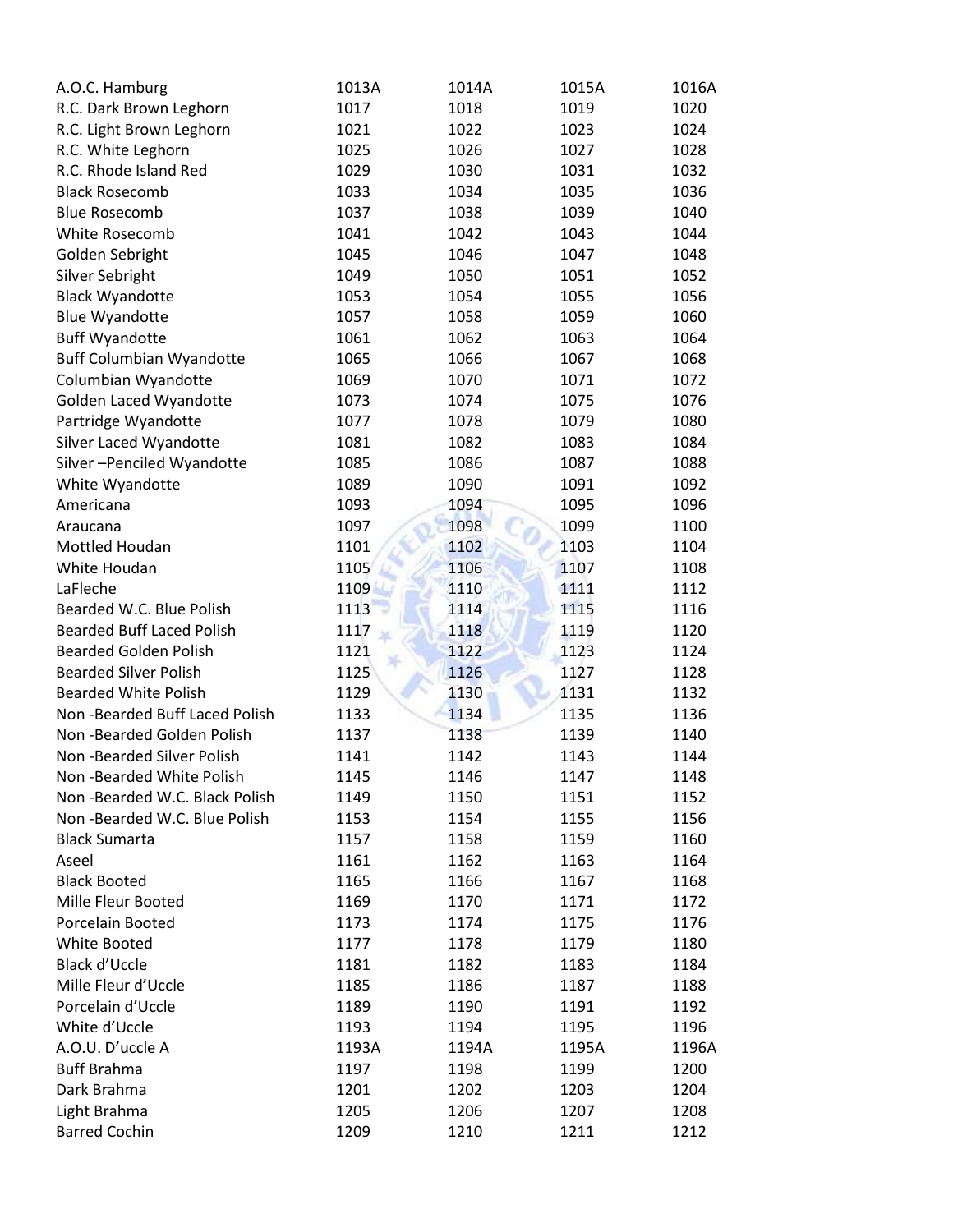| A.O.C. Hamburg                   | 1013A | 1014A | 1015A | 1016A |
|----------------------------------|-------|-------|-------|-------|
| R.C. Dark Brown Leghorn          | 1017  | 1018  | 1019  | 1020  |
| R.C. Light Brown Leghorn         | 1021  | 1022  | 1023  | 1024  |
| R.C. White Leghorn               | 1025  | 1026  | 1027  | 1028  |
| R.C. Rhode Island Red            | 1029  | 1030  | 1031  | 1032  |
| <b>Black Rosecomb</b>            | 1033  | 1034  | 1035  | 1036  |
| <b>Blue Rosecomb</b>             | 1037  | 1038  | 1039  | 1040  |
| White Rosecomb                   | 1041  | 1042  | 1043  | 1044  |
| Golden Sebright                  | 1045  | 1046  | 1047  | 1048  |
| Silver Sebright                  | 1049  | 1050  | 1051  | 1052  |
| <b>Black Wyandotte</b>           | 1053  | 1054  | 1055  | 1056  |
| <b>Blue Wyandotte</b>            | 1057  | 1058  | 1059  | 1060  |
| <b>Buff Wyandotte</b>            | 1061  | 1062  | 1063  | 1064  |
| <b>Buff Columbian Wyandotte</b>  | 1065  | 1066  | 1067  | 1068  |
| Columbian Wyandotte              | 1069  | 1070  | 1071  | 1072  |
| Golden Laced Wyandotte           | 1073  | 1074  | 1075  | 1076  |
| Partridge Wyandotte              | 1077  | 1078  | 1079  | 1080  |
| Silver Laced Wyandotte           | 1081  | 1082  | 1083  | 1084  |
| Silver-Penciled Wyandotte        | 1085  | 1086  | 1087  | 1088  |
| White Wyandotte                  | 1089  | 1090  | 1091  | 1092  |
| Americana                        | 1093  | 1094  | 1095  | 1096  |
| Araucana                         | 1097  | 1098  | 1099  | 1100  |
| Mottled Houdan                   | 1101  | 1102  | 1103  | 1104  |
| White Houdan                     | 1105  | 1106  | 1107  | 1108  |
| LaFleche                         | 1109  | 1110  | 1111  | 1112  |
| Bearded W.C. Blue Polish         | 1113  | 1114  | 1115  | 1116  |
| <b>Bearded Buff Laced Polish</b> | 1117  | 1118  | 1119  | 1120  |
| <b>Bearded Golden Polish</b>     | 1121  | 1122  | 1123  | 1124  |
| <b>Bearded Silver Polish</b>     | 1125  | 1126  | 1127  | 1128  |
| <b>Bearded White Polish</b>      | 1129  | 1130  | 1131  | 1132  |
| Non-Bearded Buff Laced Polish    | 1133  | 1134  | 1135  | 1136  |
| Non-Bearded Golden Polish        | 1137  | 1138  | 1139  | 1140  |
| Non-Bearded Silver Polish        | 1141  | 1142  | 1143  | 1144  |
| Non-Bearded White Polish         | 1145  | 1146  | 1147  | 1148  |
| Non-Bearded W.C. Black Polish    | 1149  | 1150  | 1151  | 1152  |
| Non-Bearded W.C. Blue Polish     | 1153  | 1154  | 1155  | 1156  |
| <b>Black Sumarta</b>             | 1157  | 1158  | 1159  | 1160  |
| Aseel                            | 1161  | 1162  | 1163  | 1164  |
| <b>Black Booted</b>              | 1165  | 1166  | 1167  | 1168  |
| Mille Fleur Booted               | 1169  | 1170  | 1171  | 1172  |
| Porcelain Booted                 | 1173  | 1174  | 1175  | 1176  |
| White Booted                     | 1177  | 1178  | 1179  | 1180  |
| Black d'Uccle                    | 1181  | 1182  | 1183  | 1184  |
| Mille Fleur d'Uccle              | 1185  | 1186  | 1187  | 1188  |
| Porcelain d'Uccle                | 1189  | 1190  | 1191  | 1192  |
| White d'Uccle                    | 1193  | 1194  | 1195  | 1196  |
| A.O.U. D'uccle A                 | 1193A | 1194A | 1195A | 1196A |
| <b>Buff Brahma</b>               | 1197  | 1198  | 1199  | 1200  |
| Dark Brahma                      | 1201  | 1202  | 1203  | 1204  |
| Light Brahma                     | 1205  | 1206  | 1207  | 1208  |
| <b>Barred Cochin</b>             | 1209  | 1210  | 1211  | 1212  |
|                                  |       |       |       |       |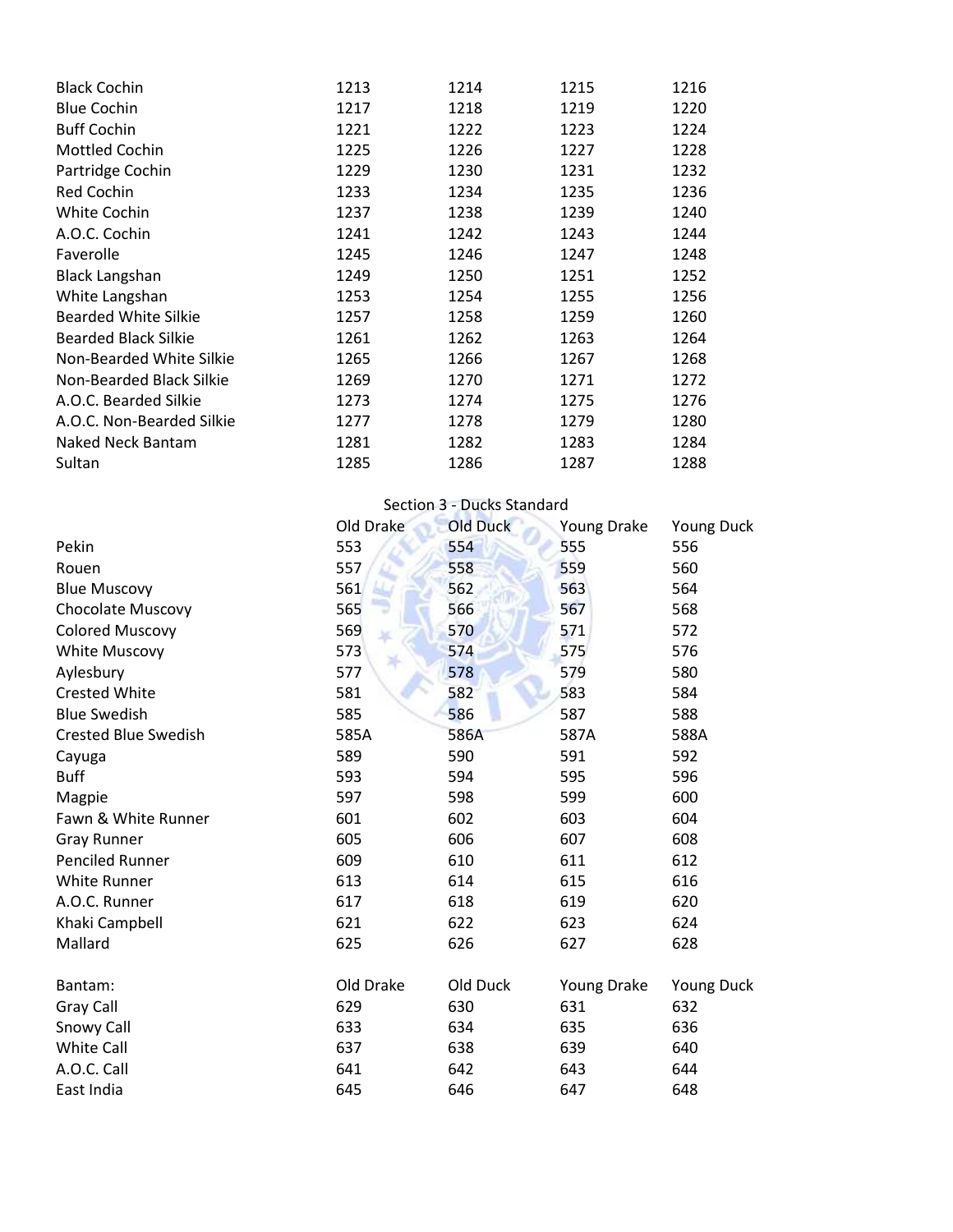| <b>Black Cochin</b>         | 1213 | 1214 | 1215 | 1216 |
|-----------------------------|------|------|------|------|
| <b>Blue Cochin</b>          | 1217 | 1218 | 1219 | 1220 |
| <b>Buff Cochin</b>          | 1221 | 1222 | 1223 | 1224 |
| Mottled Cochin              | 1225 | 1226 | 1227 | 1228 |
| Partridge Cochin            | 1229 | 1230 | 1231 | 1232 |
| <b>Red Cochin</b>           | 1233 | 1234 | 1235 | 1236 |
| <b>White Cochin</b>         | 1237 | 1238 | 1239 | 1240 |
| A.O.C. Cochin               | 1241 | 1242 | 1243 | 1244 |
| Faverolle                   | 1245 | 1246 | 1247 | 1248 |
| <b>Black Langshan</b>       | 1249 | 1250 | 1251 | 1252 |
| White Langshan              | 1253 | 1254 | 1255 | 1256 |
| <b>Bearded White Silkie</b> | 1257 | 1258 | 1259 | 1260 |
| <b>Bearded Black Silkie</b> | 1261 | 1262 | 1263 | 1264 |
| Non-Bearded White Silkie    | 1265 | 1266 | 1267 | 1268 |
| Non-Bearded Black Silkie    | 1269 | 1270 | 1271 | 1272 |
| A.O.C. Bearded Silkie       | 1273 | 1274 | 1275 | 1276 |
| A.O.C. Non-Bearded Silkie   | 1277 | 1278 | 1279 | 1280 |
| <b>Naked Neck Bantam</b>    | 1281 | 1282 | 1283 | 1284 |
| Sultan                      | 1285 | 1286 | 1287 | 1288 |

|                             | Section 3 - Ducks Standard |                 |             |                   |  |
|-----------------------------|----------------------------|-----------------|-------------|-------------------|--|
|                             | Old Drake                  | <b>Old Duck</b> | Young Drake | Young Duck        |  |
| Pekin                       | 553                        | 554             | 555         | 556               |  |
| Rouen                       | 557                        | 558             | 559         | 560               |  |
| <b>Blue Muscovy</b>         | 561                        | 562             | 563         | 564               |  |
| Chocolate Muscovy           | 565                        | 566             | 567         | 568               |  |
| <b>Colored Muscovy</b>      | 569                        | 570             | 571         | 572               |  |
| <b>White Muscovy</b>        | 573                        | 574             | 575         | 576               |  |
| Aylesbury                   | 577                        | 578             | 579         | 580               |  |
| <b>Crested White</b>        | 581                        | 582             | 583         | 584               |  |
| <b>Blue Swedish</b>         | 585                        | 586             | 587         | 588               |  |
| <b>Crested Blue Swedish</b> | 585A                       | 586A            | 587A        | 588A              |  |
| Cayuga                      | 589                        | 590             | 591         | 592               |  |
| <b>Buff</b>                 | 593                        | 594             | 595         | 596               |  |
| Magpie                      | 597                        | 598             | 599         | 600               |  |
| Fawn & White Runner         | 601                        | 602             | 603         | 604               |  |
| <b>Gray Runner</b>          | 605                        | 606             | 607         | 608               |  |
| <b>Penciled Runner</b>      | 609                        | 610             | 611         | 612               |  |
| <b>White Runner</b>         | 613                        | 614             | 615         | 616               |  |
| A.O.C. Runner               | 617                        | 618             | 619         | 620               |  |
| Khaki Campbell              | 621                        | 622             | 623         | 624               |  |
| Mallard                     | 625                        | 626             | 627         | 628               |  |
| Bantam:                     | Old Drake                  | Old Duck        | Young Drake | <b>Young Duck</b> |  |
| Gray Call                   | 629                        | 630             | 631         | 632               |  |
| Snowy Call                  | 633                        | 634             | 635         | 636               |  |
| White Call                  | 637                        | 638             | 639         | 640               |  |
| A.O.C. Call                 | 641                        | 642             | 643         | 644               |  |
| East India                  | 645                        | 646             | 647         | 648               |  |